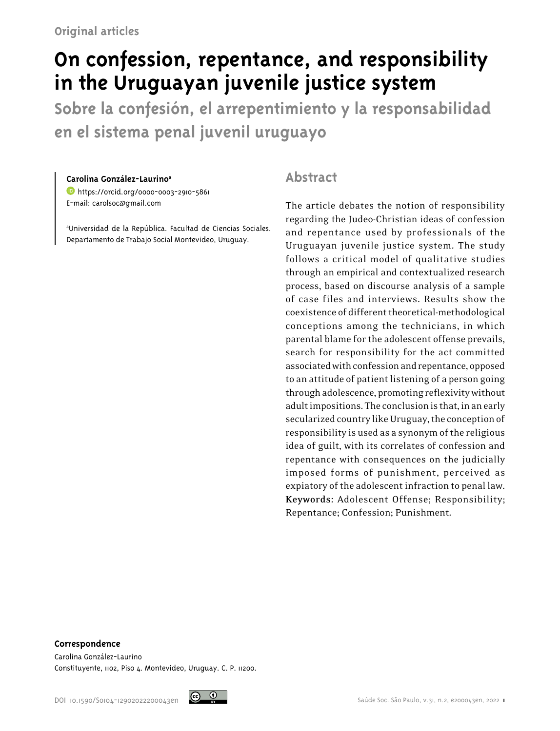# **On confession, repentance, and responsibility in the Uruguayan juvenile justice system**

**Sobre la confesión, el arrepentimiento y la responsabilidad en el sistema penal juvenil uruguayo**

#### **Carolina González-Laurinoa**

<https://orcid.org/0000-0003-2910-5861> E-mail: carolsoc@gmail.com

a Universidad de la República. Facultad de Ciencias Sociales. Departamento de Trabajo Social Montevideo, Uruguay.

### **Abstract**

The article debates the notion of responsibility regarding the Judeo-Christian ideas of confession and repentance used by professionals of the Uruguayan juvenile justice system. The study follows a critical model of qualitative studies through an empirical and contextualized research process, based on discourse analysis of a sample of case files and interviews. Results show the coexistence of different theoretical-methodological conceptions among the technicians, in which parental blame for the adolescent offense prevails, search for responsibility for the act committed associated with confession and repentance, opposed to an attitude of patient listening of a person going through adolescence, promoting reflexivity without adult impositions. The conclusion is that, in an early secularized country like Uruguay, the conception of responsibility is used as a synonym of the religious idea of guilt, with its correlates of confession and repentance with consequences on the judicially imposed forms of punishment, perceived as expiatory of the adolescent infraction to penal law. **Keywords:** Adolescent Offense; Responsibility; Repentance; Confession; Punishment.

#### **Correspondence**

Carolina González-Laurino Constituyente, 1102, Piso 4. Montevideo, Uruguay. C. P. 11200.

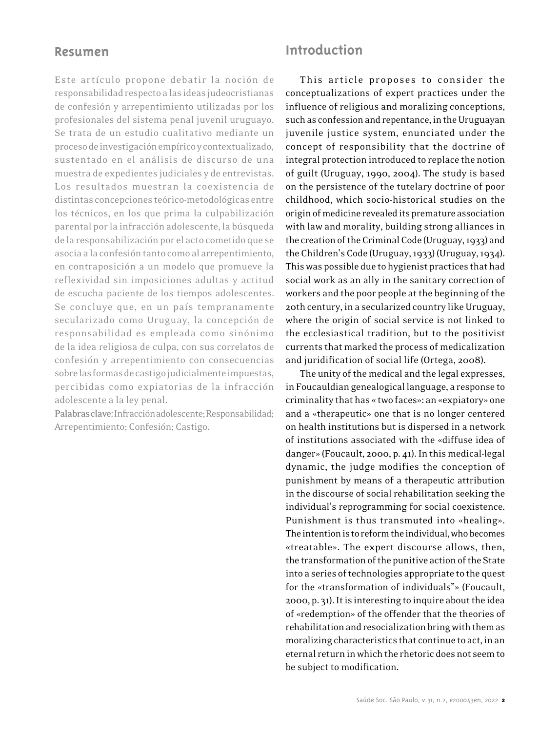### **Resumen**

Este artículo propone debatir la noción de responsabilidad respecto a las ideas judeocristianas de confesión y arrepentimiento utilizadas por los profesionales del sistema penal juvenil uruguayo. Se trata de un estudio cualitativo mediante un proceso de investigación empírico y contextualizado, sustentado en el análisis de discurso de una muestra de expedientes judiciales y de entrevistas. Los resultados muestran la coexistencia de distintas concepciones teórico-metodológicas entre los técnicos, en los que prima la culpabilización parental por la infracción adolescente, la búsqueda de la responsabilización por el acto cometido que se asocia a la confesión tanto como al arrepentimiento, en contraposición a un modelo que promueve la reflexividad sin imposiciones adultas y actitud de escucha paciente de los tiempos adolescentes. Se concluye que, en un país tempranamente secularizado como Uruguay, la concepción de responsabilidad es empleada como sinónimo de la idea religiosa de culpa, con sus correlatos de confesión y arrepentimiento con consecuencias sobre las formas de castigo judicialmente impuestas, percibidas como expiatorias de la infracción adolescente a la ley penal.

**Palabras clave:** Infracción adolescente; Responsabilidad; Arrepentimiento; Confesión; Castigo.

## **Introduction**

This article proposes to consider the conceptualizations of expert practices under the influence of religious and moralizing conceptions, such as confession and repentance, in the Uruguayan juvenile justice system, enunciated under the concept of responsibility that the doctrine of integral protection introduced to replace the notion of guilt (Uruguay, 1990, 2004). The study is based on the persistence of the tutelary doctrine of poor childhood, which socio-historical studies on the origin of medicine revealed its premature association with law and morality, building strong alliances in the creation of the Criminal Code (Uruguay, 1933) and the Children's Code (Uruguay, 1933) (Uruguay, 1934). This was possible due to hygienist practices that had social work as an ally in the sanitary correction of workers and the poor people at the beginning of the 20th century, in a secularized country like Uruguay, where the origin of social service is not linked to the ecclesiastical tradition, but to the positivist currents that marked the process of medicalization and juridification of social life (Ortega, 2008).

The unity of the medical and the legal expresses, in Foucauldian genealogical language, a response to criminality that has « two faces»: an «expiatory» one and a «therapeutic» one that is no longer centered on health institutions but is dispersed in a network of institutions associated with the «diffuse idea of danger» (Foucault, 2000, p. 41). In this medical-legal dynamic, the judge modifies the conception of punishment by means of a therapeutic attribution in the discourse of social rehabilitation seeking the individual's reprogramming for social coexistence. Punishment is thus transmuted into «healing». The intention is to reform the individual, who becomes «treatable». The expert discourse allows, then, the transformation of the punitive action of the State into a series of technologies appropriate to the quest for the «transformation of individuals"» (Foucault, 2000, p. 31). It is interesting to inquire about the idea of «redemption» of the offender that the theories of rehabilitation and resocialization bring with them as moralizing characteristics that continue to act, in an eternal return in which the rhetoric does not seem to be subject to modification.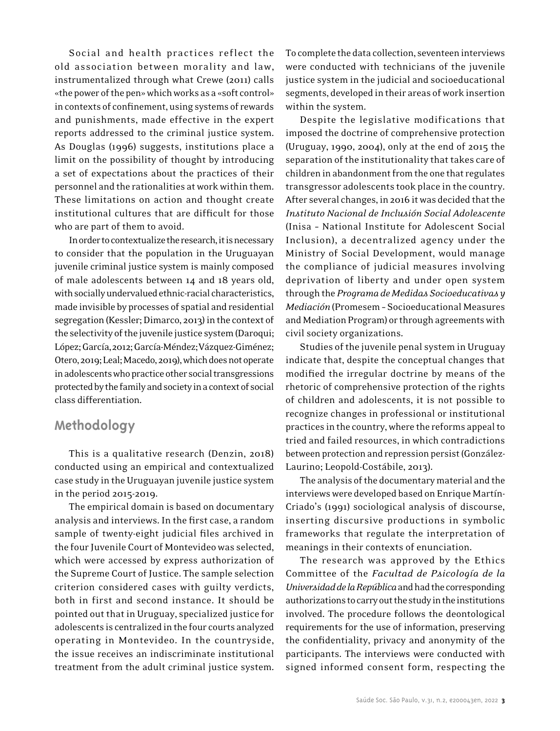Social and health practices reflect the old association between morality and law, instrumentalized through what Crewe (2011) calls «the power of the pen» which works as a «soft control» in contexts of confinement, using systems of rewards and punishments, made effective in the expert reports addressed to the criminal justice system. As Douglas (1996) suggests, institutions place a limit on the possibility of thought by introducing a set of expectations about the practices of their personnel and the rationalities at work within them. These limitations on action and thought create institutional cultures that are difficult for those who are part of them to avoid.

In order to contextualize the research, it is necessary to consider that the population in the Uruguayan juvenile criminal justice system is mainly composed of male adolescents between 14 and 18 years old, with socially undervalued ethnic-racial characteristics, made invisible by processes of spatial and residential segregation (Kessler; Dimarco, 2013) in the context of the selectivity of the juvenile justice system (Daroqui; López; García,2012; García-Méndez;Vázquez-Giménez; Otero, 2019; Leal; Macedo, 2019), which does not operate in adolescents who practice other social transgressions protected by the family and society in a context of social class differentiation.

## **Methodology**

This is a qualitative research (Denzin, 2018) conducted using an empirical and contextualized case study in the Uruguayan juvenile justice system in the period 2015-2019.

The empirical domain is based on documentary analysis and interviews. In the first case, a random sample of twenty-eight judicial files archived in the four Juvenile Court of Montevideo was selected, which were accessed by express authorization of the Supreme Court of Justice. The sample selection criterion considered cases with guilty verdicts, both in first and second instance. It should be pointed out that in Uruguay, specialized justice for adolescents is centralized in the four courts analyzed operating in Montevideo. In the countryside, the issue receives an indiscriminate institutional treatment from the adult criminal justice system. To complete the data collection, seventeen interviews were conducted with technicians of the juvenile justice system in the judicial and socioeducational segments, developed in their areas of work insertion within the system.

Despite the legislative modifications that imposed the doctrine of comprehensive protection (Uruguay, 1990, 2004), only at the end of 2015 the separation of the institutionality that takes care of children in abandonment from the one that regulates transgressor adolescents took place in the country. After several changes, in 2016 it was decided that the *Instituto Nacional de Inclusión Social Adolescente* (Inisa – National Institute for Adolescent Social Inclusion), a decentralized agency under the Ministry of Social Development, would manage the compliance of judicial measures involving deprivation of liberty and under open system through the *Programa de Medidas Socioeducativas y Mediación* (Promesem – Socioeducational Measures and Mediation Program) or through agreements with civil society organizations.

Studies of the juvenile penal system in Uruguay indicate that, despite the conceptual changes that modified the irregular doctrine by means of the rhetoric of comprehensive protection of the rights of children and adolescents, it is not possible to recognize changes in professional or institutional practices in the country, where the reforms appeal to tried and failed resources, in which contradictions between protection and repression persist (González-Laurino; Leopold-Costábile, 2013).

The analysis of the documentary material and the interviews were developed based on Enrique Martín-Criado's (1991) sociological analysis of discourse, inserting discursive productions in symbolic frameworks that regulate the interpretation of meanings in their contexts of enunciation.

The research was approved by the Ethics Committee of the *Facultad de Psicología de la Universidad de la República* and had the corresponding authorizations to carry out the study in the institutions involved. The procedure follows the deontological requirements for the use of information, preserving the confidentiality, privacy and anonymity of the participants. The interviews were conducted with signed informed consent form, respecting the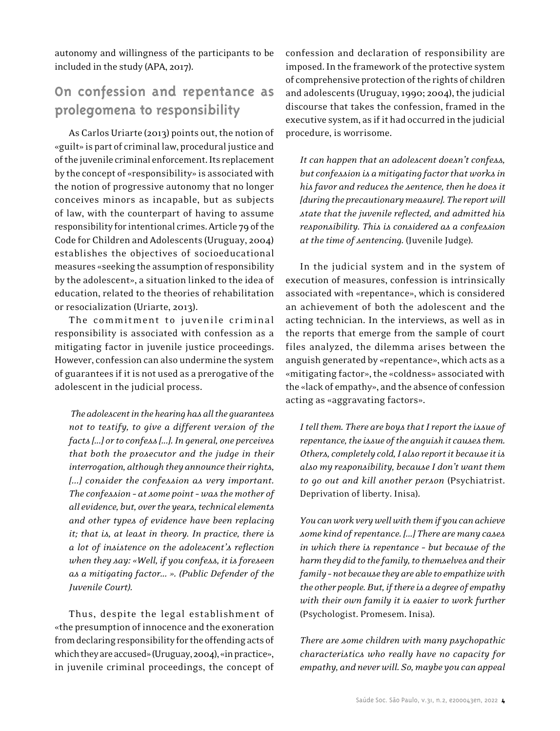autonomy and willingness of the participants to be included in the study (APA, 2017).

# **On confession and repentance as prolegomena to responsibility**

As Carlos Uriarte (2013) points out, the notion of «guilt» is part of criminal law, procedural justice and of the juvenile criminal enforcement. Its replacement by the concept of «responsibility» is associated with the notion of progressive autonomy that no longer conceives minors as incapable, but as subjects of law, with the counterpart of having to assume responsibility for intentional crimes. Article 79 of the Code for Children and Adolescents (Uruguay, 2004) establishes the objectives of socioeducational measures «seeking the assumption of responsibility by the adolescent», a situation linked to the idea of education, related to the theories of rehabilitation or resocialization (Uriarte, 2013).

The commitment to juvenile criminal responsibility is associated with confession as a mitigating factor in juvenile justice proceedings. However, confession can also undermine the system of guarantees if it is not used as a prerogative of the adolescent in the judicial process.

 *The adolescent in the hearing has all the guarantees not to testify, to give a different version of the facts [...] or to confess [...]. In general, one perceives that both the prosecutor and the judge in their interrogation, although they announce their rights, [...] consider the confession as very important. The confession – at some point – was the mother of all evidence, but, over the years, technical elements and other types of evidence have been replacing it; that is, at least in theory. In practice, there is a lot of insistence on the adolescent's reflection when they say: «Well, if you confess, it is foreseen as a mitigating factor... ». (Public Defender of the Juvenile Court).* 

Thus, despite the legal establishment of «the presumption of innocence and the exoneration from declaring responsibility for the offending acts of which they are accused» (Uruguay, 2004), «in practice», in juvenile criminal proceedings, the concept of confession and declaration of responsibility are imposed. In the framework of the protective system of comprehensive protection of the rights of children and adolescents (Uruguay, 1990; 2004), the judicial discourse that takes the confession, framed in the executive system, as if it had occurred in the judicial procedure, is worrisome.

*It can happen that an adolescent doesn't confess, but confession is a mitigating factor that works in his favor and reduces the sentence, then he does it [during the precautionary measure]. The report will state that the juvenile reflected, and admitted his responsibility. This is considered as a confession at the time of sentencing.* (Juvenile Judge)*.* 

In the judicial system and in the system of execution of measures, confession is intrinsically associated with «repentance», which is considered an achievement of both the adolescent and the acting technician. In the interviews, as well as in the reports that emerge from the sample of court files analyzed, the dilemma arises between the anguish generated by «repentance», which acts as a «mitigating factor», the «coldness» associated with the «lack of empathy», and the absence of confession acting as «aggravating factors».

*I tell them. There are boys that I report the issue of repentance, the issue of the anguish it causes them. Others, completely cold, I also report it because it is also my responsibility, because I don't want them to go out and kill another person* (Psychiatrist. Deprivation of liberty. Inisa)*.*

*You can work very well with them if you can achieve some kind of repentance. [...] There are many cases in which there is repentance – but because of the harm they did to the family, to themselves and their family – not because they are able to empathize with the other people. But, if there is a degree of empathy with their own family it is easier to work further*  (Psychologist. Promesem. Inisa)*.*

*There are some children with many psychopathic characteristics who really have no capacity for empathy, and never will. So, maybe you can appeal*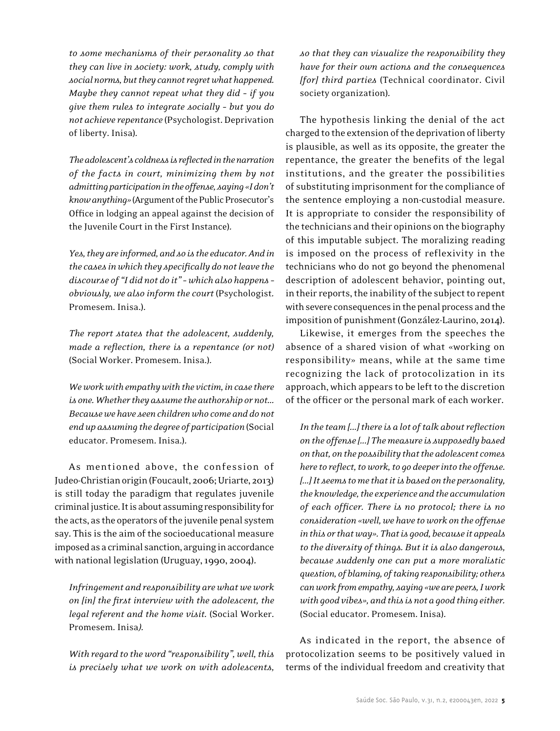*to some mechanisms of their personality so that they can live in society: work, study, comply with social norms, but they cannot regret what happened. Maybe they cannot repeat what they did – if you give them rules to integrate socially – but you do not achieve repentance* (Psychologist. Deprivation of liberty. Inisa)*.* 

*The adolescent's coldness is reflected in the narration of the facts in court, minimizing them by not admitting participation in the offense, saying «I don't know anything»* (Argument of the Public Prosecutor's Office in lodging an appeal against the decision of the Juvenile Court in the First Instance)*.* 

*Yes, they are informed, and so is the educator. And in the cases in which they specifically do not leave the discourse of "I did not do it" – which also happens – obviously, we also inform the court* (Psychologist*.* Promesem. Inisa.)*.* 

*The report states that the adolescent, suddenly, made a reflection, there is a repentance (or not)*  (Social Worker. Promesem. Inisa.)*.* 

*We work with empathy with the victim, in case there is one. Whether they assume the authorship or not... Because we have seen children who come and do not end up assuming the degree of participation* (Social educator. Promesem. Inisa.)*.* 

As mentioned above, the confession of Judeo-Christian origin (Foucault, 2006; Uriarte, 2013) is still today the paradigm that regulates juvenile criminal justice. It is about assuming responsibility for the acts, as the operators of the juvenile penal system say. This is the aim of the socioeducational measure imposed as a criminal sanction, arguing in accordance with national legislation (Uruguay, 1990, 2004).

*Infringement and responsibility are what we work on [in] the first interview with the adolescent, the legal referent and the home visit.* (Social Worker. Promesem. Inisa*).* 

*With regard to the word "responsibility", well, this is precisely what we work on with adolescents,* 

*so that they can visualize the responsibility they have for their own actions and the consequences [for] third parties* (Technical coordinator. Civil society organization)*.* 

The hypothesis linking the denial of the act charged to the extension of the deprivation of liberty is plausible, as well as its opposite, the greater the repentance, the greater the benefits of the legal institutions, and the greater the possibilities of substituting imprisonment for the compliance of the sentence employing a non-custodial measure. It is appropriate to consider the responsibility of the technicians and their opinions on the biography of this imputable subject. The moralizing reading is imposed on the process of reflexivity in the technicians who do not go beyond the phenomenal description of adolescent behavior, pointing out, in their reports, the inability of the subject to repent with severe consequences in the penal process and the imposition of punishment (González-Laurino, 2014).

Likewise, it emerges from the speeches the absence of a shared vision of what «working on responsibility» means, while at the same time recognizing the lack of protocolization in its approach, which appears to be left to the discretion of the officer or the personal mark of each worker.

*In the team [...] there is a lot of talk about reflection on the offense [...] The measure is supposedly based on that, on the possibility that the adolescent comes here to reflect, to work, to go deeper into the offense. [...] It seems to me that it is based on the personality, the knowledge, the experience and the accumulation of each officer. There is no protocol; there is no consideration «well, we have to work on the offense in this or that way». That is good, because it appeals to the diversity of things. But it is also dangerous, because suddenly one can put a more moralistic question, of blaming, of taking responsibility; others can work from empathy, saying «we are peers, I work with good vibes», and this is not a good thing either.*  (Social educator. Promesem. Inisa)*.* 

As indicated in the report, the absence of protocolization seems to be positively valued in terms of the individual freedom and creativity that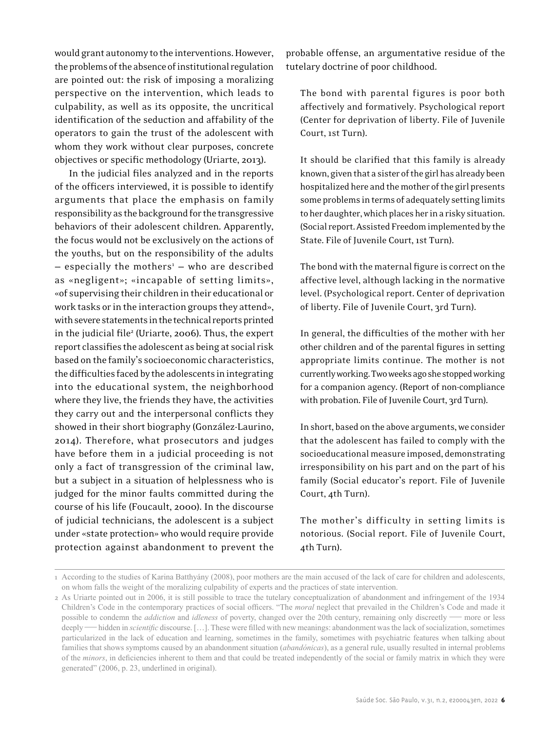would grant autonomy to the interventions. However, the problems of the absence of institutional regulation are pointed out: the risk of imposing a moralizing perspective on the intervention, which leads to culpability, as well as its opposite, the uncritical identification of the seduction and affability of the operators to gain the trust of the adolescent with whom they work without clear purposes, concrete objectives or specific methodology (Uriarte, 2013).

In the judicial files analyzed and in the reports of the officers interviewed, it is possible to identify arguments that place the emphasis on family responsibility as the background for the transgressive behaviors of their adolescent children. Apparently, the focus would not be exclusively on the actions of the youths, but on the responsibility of the adults - especially the mothers<sup>1</sup> - who are described as «negligent»; «incapable of setting limits», «of supervising their children in their educational or work tasks or in the interaction groups they attend», with severe statements in the technical reports printed in the judicial file<sup>2</sup> (Uriarte, 2006). Thus, the expert report classifies the adolescent as being at social risk based on the family's socioeconomic characteristics, the difficulties faced by the adolescents in integrating into the educational system, the neighborhood where they live, the friends they have, the activities they carry out and the interpersonal conflicts they showed in their short biography (González-Laurino, 2014). Therefore, what prosecutors and judges have before them in a judicial proceeding is not only a fact of transgression of the criminal law, but a subject in a situation of helplessness who is judged for the minor faults committed during the course of his life (Foucault, 2000). In the discourse of judicial technicians, the adolescent is a subject under «state protection» who would require provide protection against abandonment to prevent the

probable offense, an argumentative residue of the tutelary doctrine of poor childhood.

The bond with parental figures is poor both affectively and formatively. Psychological report (Center for deprivation of liberty. File of Juvenile Court, 1st Turn).

It should be clarified that this family is already known, given that a sister of the girl has already been hospitalized here and the mother of the girl presents some problems in terms of adequately setting limits to her daughter, which places her in a risky situation. (Social report. Assisted Freedom implemented by the State. File of Juvenile Court, 1st Turn).

The bond with the maternal figure is correct on the affective level, although lacking in the normative level. (Psychological report. Center of deprivation of liberty. File of Juvenile Court, 3rd Turn).

In general, the difficulties of the mother with her other children and of the parental figures in setting appropriate limits continue. The mother is not currently working. Two weeks ago she stopped working for a companion agency. (Report of non-compliance with probation. File of Juvenile Court, 3rd Turn).

In short, based on the above arguments, we consider that the adolescent has failed to comply with the socioeducational measure imposed, demonstrating irresponsibility on his part and on the part of his family (Social educator's report. File of Juvenile Court, 4th Turn).

The mother's difficulty in setting limits is notorious. (Social report. File of Juvenile Court, 4th Turn).

<sup>1</sup> According to the studies of Karina Batthyány (2008), poor mothers are the main accused of the lack of care for children and adolescents, on whom falls the weight of the moralizing culpability of experts and the practices of state intervention.

<sup>2</sup> As Uriarte pointed out in 2006, it is still possible to trace the tutelary conceptualization of abandonment and infringement of the 1934 Children's Code in the contemporary practices of social officers. "The *moral* neglect that prevailed in the Children's Code and made it possible to condemn the *addiction* and *idleness* of poverty, changed over the 20th century, remaining only discreetly — more or less deeply — hidden in *scientific* discourse. […]. These were filled with new meanings: abandonment was the lack of socialization, sometimes particularized in the lack of education and learning, sometimes in the family, sometimes with psychiatric features when talking about families that shows symptoms caused by an abandonment situation (*abandónicas*), as a general rule, usually resulted in internal problems of the *minors*, in deficiencies inherent to them and that could be treated independently of the social or family matrix in which they were generated" (2006, p. 23, underlined in original).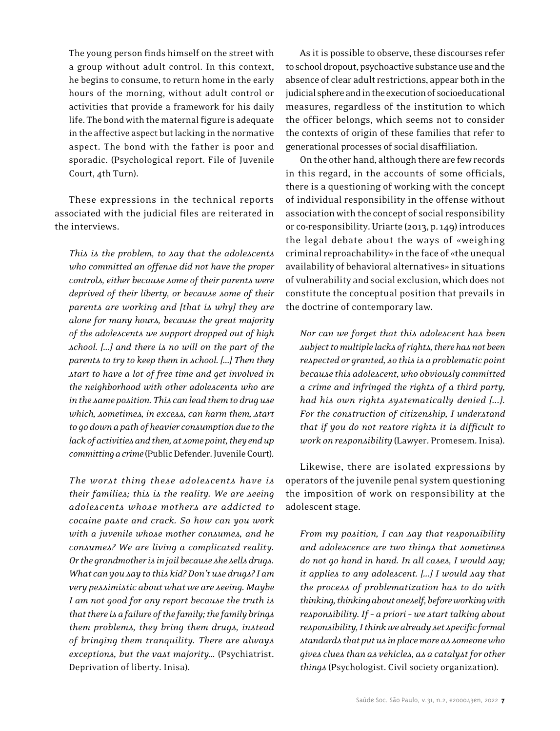The young person finds himself on the street with a group without adult control. In this context, he begins to consume, to return home in the early hours of the morning, without adult control or activities that provide a framework for his daily life. The bond with the maternal figure is adequate in the affective aspect but lacking in the normative aspect. The bond with the father is poor and sporadic. (Psychological report. File of Juvenile Court, 4th Turn).

These expressions in the technical reports associated with the judicial files are reiterated in the interviews.

*This is the problem, to say that the adolescents who committed an offense did not have the proper controls, either because some of their parents were deprived of their liberty, or because some of their parents are working and [that is why] they are alone for many hours, because the great majority of the adolescents we support dropped out of high school. [...] and there is no will on the part of the parents to try to keep them in school. [...] Then they start to have a lot of free time and get involved in the neighborhood with other adolescents who are in the same position. This can lead them to drug use which, sometimes, in excess, can harm them, start to go down a path of heavier consumption due to the lack of activities and then, at some point, they end up committing a crime* (Public Defender. Juvenile Court)*.* 

*The worst thing these adolescents have is their families; this is the reality. We are seeing adolescents whose mothers are addicted to cocaine paste and crack. So how can you work with a juvenile whose mother consumes, and he consumes? We are living a complicated reality. Or the grandmother is in jail because she sells drugs. What can you say to this kid? Don't use drugs? I am very pessimistic about what we are seeing. Maybe I am not good for any report because the truth is that there is a failure of the family; the family brings them problems, they bring them drugs, instead of bringing them tranquility. There are always exceptions, but the vast majority…* (Psychiatrist. Deprivation of liberty. Inisa)*.* 

As it is possible to observe, these discourses refer to school dropout, psychoactive substance use and the absence of clear adult restrictions, appear both in the judicial sphere and in the execution of socioeducational measures, regardless of the institution to which the officer belongs, which seems not to consider the contexts of origin of these families that refer to generational processes of social disaffiliation.

On the other hand, although there are few records in this regard, in the accounts of some officials, there is a questioning of working with the concept of individual responsibility in the offense without association with the concept of social responsibility or co-responsibility. Uriarte (2013, p. 149) introduces the legal debate about the ways of «weighing criminal reproachability» in the face of «the unequal availability of behavioral alternatives» in situations of vulnerability and social exclusion, which does not constitute the conceptual position that prevails in the doctrine of contemporary law.

*Nor can we forget that this adolescent has been subject to multiple lacks of rights, there has not been respected or granted, so this is a problematic point because this adolescent, who obviously committed a crime and infringed the rights of a third party, had his own rights systematically denied [...]. For the construction of citizenship, I understand that if you do not restore rights it is difficult to work on responsibility* (Lawyer. Promesem. Inisa)*.* 

Likewise, there are isolated expressions by operators of the juvenile penal system questioning the imposition of work on responsibility at the adolescent stage.

*From my position, I can say that responsibility and adolescence are two things that sometimes do not go hand in hand. In all cases, I would say; it applies to any adolescent. [...] I would say that the process of problematization has to do with thinking, thinking about oneself, before working with responsibility. If – a priori – we start talking about responsibility, I think we already set specific formal standards that put us in place more as someone who gives clues than as vehicles, as a catalyst for other things* (Psychologist. Civil society organization)*.*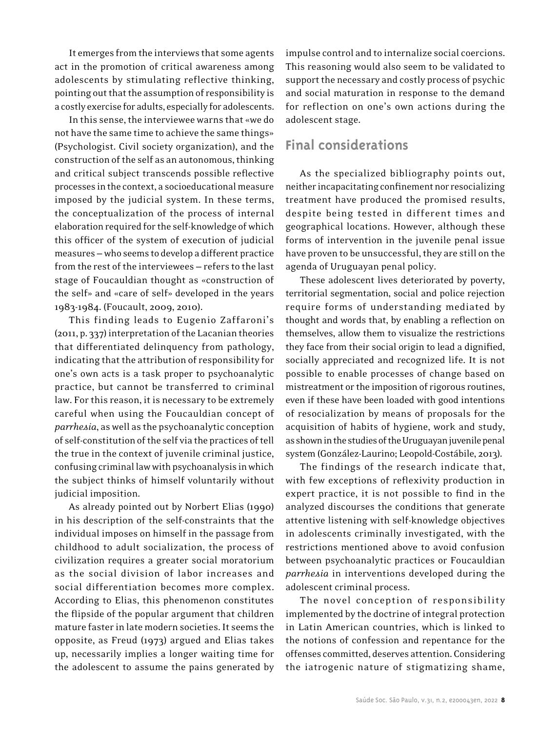It emerges from the interviews that some agents act in the promotion of critical awareness among adolescents by stimulating reflective thinking, pointing out that the assumption of responsibility is a costly exercise for adults, especially for adolescents.

In this sense, the interviewee warns that «we do not have the same time to achieve the same things» (Psychologist. Civil society organization), and the construction of the self as an autonomous, thinking and critical subject transcends possible reflective processes in the context, a socioeducational measure imposed by the judicial system. In these terms, the conceptualization of the process of internal elaboration required for the self-knowledge of which this officer of the system of execution of judicial measures — who seems to develop a different practice from the rest of the interviewees — refers to the last stage of Foucauldian thought as «construction of the self» and «care of self» developed in the years 1983-1984. (Foucault, 2009, 2010).

This finding leads to Eugenio Zaffaroni's (2011, p. 337) interpretation of the Lacanian theories that differentiated delinquency from pathology, indicating that the attribution of responsibility for one's own acts is a task proper to psychoanalytic practice, but cannot be transferred to criminal law. For this reason, it is necessary to be extremely careful when using the Foucauldian concept of *parrhesia*, as well as the psychoanalytic conception of self-constitution of the self via the practices of tell the true in the context of juvenile criminal justice, confusing criminal law with psychoanalysis in which the subject thinks of himself voluntarily without judicial imposition.

As already pointed out by Norbert Elias (1990) in his description of the self-constraints that the individual imposes on himself in the passage from childhood to adult socialization, the process of civilization requires a greater social moratorium as the social division of labor increases and social differentiation becomes more complex. According to Elias, this phenomenon constitutes the flipside of the popular argument that children mature faster in late modern societies. It seems the opposite, as Freud (1973) argued and Elias takes up, necessarily implies a longer waiting time for the adolescent to assume the pains generated by

impulse control and to internalize social coercions. This reasoning would also seem to be validated to support the necessary and costly process of psychic and social maturation in response to the demand for reflection on one's own actions during the adolescent stage.

# **Final considerations**

As the specialized bibliography points out, neither incapacitating confinement nor resocializing treatment have produced the promised results, despite being tested in different times and geographical locations. However, although these forms of intervention in the juvenile penal issue have proven to be unsuccessful, they are still on the agenda of Uruguayan penal policy.

These adolescent lives deteriorated by poverty, territorial segmentation, social and police rejection require forms of understanding mediated by thought and words that, by enabling a reflection on themselves, allow them to visualize the restrictions they face from their social origin to lead a dignified, socially appreciated and recognized life. It is not possible to enable processes of change based on mistreatment or the imposition of rigorous routines, even if these have been loaded with good intentions of resocialization by means of proposals for the acquisition of habits of hygiene, work and study, as shown in the studies of the Uruguayan juvenile penal system (González-Laurino; Leopold-Costábile, 2013).

The findings of the research indicate that, with few exceptions of reflexivity production in expert practice, it is not possible to find in the analyzed discourses the conditions that generate attentive listening with self-knowledge objectives in adolescents criminally investigated, with the restrictions mentioned above to avoid confusion between psychoanalytic practices or Foucauldian *parrhesia* in interventions developed during the adolescent criminal process.

The novel conception of responsibility implemented by the doctrine of integral protection in Latin American countries, which is linked to the notions of confession and repentance for the offenses committed, deserves attention. Considering the iatrogenic nature of stigmatizing shame,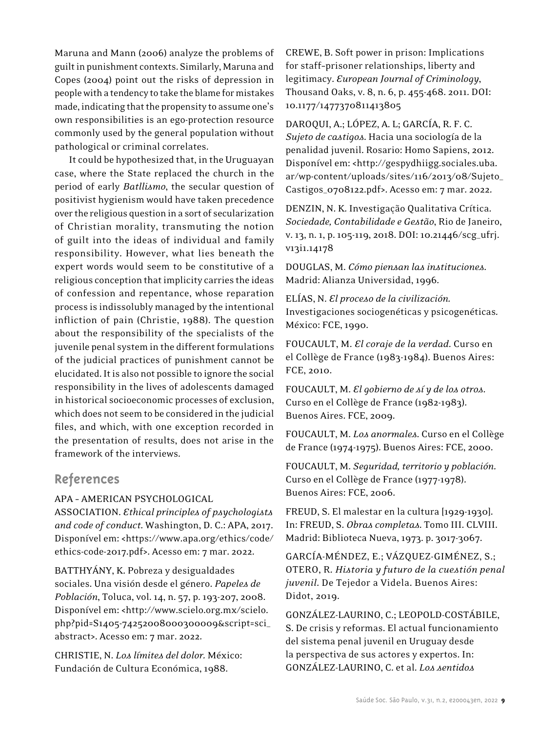Maruna and Mann (2006) analyze the problems of guilt in punishment contexts. Similarly, Maruna and Copes (2004) point out the risks of depression in people with a tendency to take the blame for mistakes made, indicating that the propensity to assume one's own responsibilities is an ego-protection resource commonly used by the general population without pathological or criminal correlates.

It could be hypothesized that, in the Uruguayan case, where the State replaced the church in the period of early *Batllismo*, the secular question of positivist hygienism would have taken precedence over the religious question in a sort of secularization of Christian morality, transmuting the notion of guilt into the ideas of individual and family responsibility. However, what lies beneath the expert words would seem to be constitutive of a religious conception that implicity carries the ideas of confession and repentance, whose reparation process is indissolubly managed by the intentional infliction of pain (Christie, 1988). The question about the responsibility of the specialists of the juvenile penal system in the different formulations of the judicial practices of punishment cannot be elucidated. It is also not possible to ignore the social responsibility in the lives of adolescents damaged in historical socioeconomic processes of exclusion, which does not seem to be considered in the judicial files, and which, with one exception recorded in the presentation of results, does not arise in the framework of the interviews.

### **References**

#### APA – AMERICAN PSYCHOLOGICAL

ASSOCIATION. *Ethical principles of psychologists and code of conduct*. Washington, D. C.: APA, 2017. Disponível em: <https://www.apa.org/ethics/code/ ethics-code-2017.pdf>. Acesso em: 7 mar. 2022.

BATTHYÁNY, K. Pobreza y desigualdades sociales. Una visión desde el género. *Papeles de Población*, Toluca, vol. 14, n. 57, p. 193-207, 2008. Disponível em: <http://www.scielo.org.mx/scielo. php?pid=S1405-74252008000300009&script=sci\_ abstract>. Acesso em: 7 mar. 2022.

CHRISTIE, N. *Los límites del dolor.* México: Fundación de Cultura Económica, 1988.

CREWE, B. Soft power in prison: Implications for staff−prisoner relationships, liberty and legitimacy. *European Journal of Criminology*, Thousand Oaks, v. 8, n. 6, p. 455-468. 2011. DOI: 10.1177/1477370811413805

DAROQUI, A.; LÓPEZ, A. L; GARCÍA, R. F. C. *Sujeto de castigos*. Hacia una sociología de la penalidad juvenil. Rosario: Homo Sapiens, 2012. Disponível em: <http://gespydhiigg.sociales.uba. ar/wp-content/uploads/sites/116/2013/08/Sujeto\_ Castigos\_0708122.pdf>. Acesso em: 7 mar. 2022.

DENZIN, N. K. Investigação Qualitativa Crítica. *Sociedade, Contabilidade e Gestão*, Rio de Janeiro, v. 13, n. 1, p. 105-119, 2018. DOI: 10.21446/scg\_ufrj. v13i1.14178

DOUGLAS, M. *Cómo piensan las instituciones*. Madrid: Alianza Universidad, 1996.

ELÍAS, N. *El proceso de la civilización.*  Investigaciones sociogenéticas y psicogenéticas*.*  México: FCE, 1990.

FOUCAULT, M. *El coraje de la verdad*. Curso en el Collège de France (1983-1984). Buenos Aires: FCE, 2010.

FOUCAULT, M. *El gobierno de sí y de los otros*. Curso en el Collège de France (1982-1983). Buenos Aires. FCE, 2009.

FOUCAULT, M. *Los anormales*. Curso en el Collège de France (1974-1975). Buenos Aires: FCE, 2000.

FOUCAULT, M. *Seguridad, territorio y población*. Curso en el Collège de France (1977-1978). Buenos Aires: FCE, 2006.

FREUD, S. El malestar en la cultura [1929-1930]. In: FREUD, S. *Obras completas*. Tomo III. CLVIII. Madrid: Biblioteca Nueva, 1973. p. 3017-3067.

GARCÍA-MÉNDEZ, E.; VÁZQUEZ-GIMÉNEZ, S.; OTERO, R. *Historia y futuro de la cuestión penal juvenil*. De Tejedor a Videla. Buenos Aires: Didot, 2019.

GONZÁLEZ-LAURINO, C.; LEOPOLD-COSTÁBILE, S. De crisis y reformas. El actual funcionamiento del sistema penal juvenil en Uruguay desde la perspectiva de sus actores y expertos. In: GONZÁLEZ-LAURINO, C. et al. *Los sentidos*